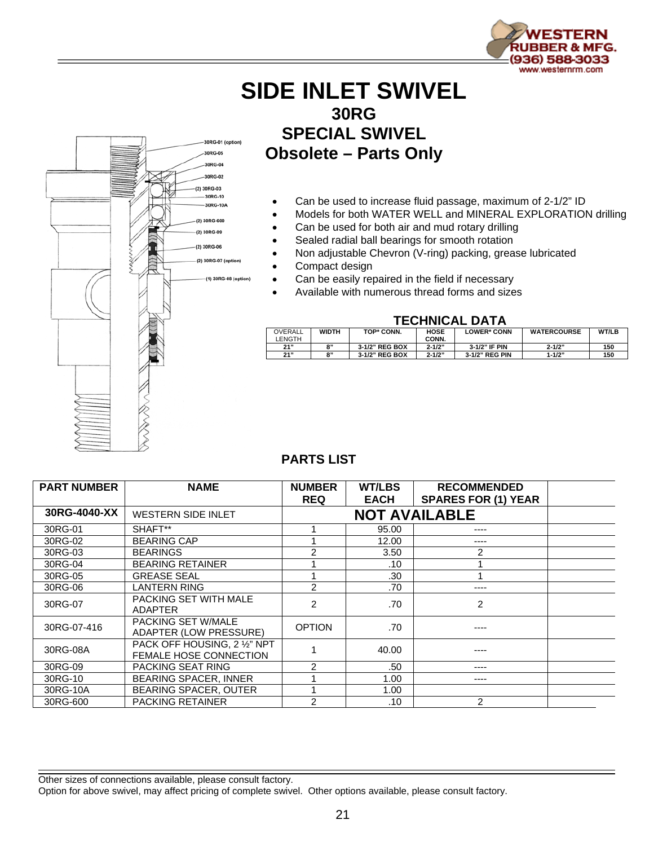

## **SIDE INLET SWIVEL 30RG SPECIAL SWIVEL Obsolete – Parts Only**

- Can be used to increase fluid passage, maximum of 2-1/2" ID
- Models for both WATER WELL and MINERAL EXPLORATION drilling
- Can be used for both air and mud rotary drilling
- Sealed radial ball bearings for smooth rotation
- Non adjustable Chevron (V-ring) packing, grease lubricated
- Compact design

ORG-01 (option)

30RG-02  $(2) 30B$ G-03  $-30RG-10$ 30RG-10A (2) 30RG-600 (2) 30RG-09 (2) 30RG-06 (2) 30RG-07 (option

(1) 30RG-08 (option

- Can be easily repaired in the field if necessary
- Available with numerous thread forms and sizes

## **TECHNICAL DATA**

| OVERALL<br>LENGTH | <b>WIDTH</b> | TOP* CONN.     | HOSE<br>CONN. | <b>LOWER* CONN</b> | <b>WATERCOURSE</b> | <b>WT/LB</b> |
|-------------------|--------------|----------------|---------------|--------------------|--------------------|--------------|
| 21"               | 8"           | 3-1/2" REG BOX | $2 - 1/2"$    | 3-1/2" IF PIN      | $2 - 1/2"$         | 150          |
| 21"               | 8"           | 3-1/2" REG BOX | $2 - 1/2"$    | 3-1/2" REG PIN     | $1 - 1/2"$         | 150          |

## **PARTS LIST**

| <b>PART NUMBER</b> | <b>NAME</b>                                                   | <b>NUMBER</b><br><b>REQ</b> | <b>WT/LBS</b><br><b>EACH</b> | <b>RECOMMENDED</b><br><b>SPARES FOR (1) YEAR</b> |  |
|--------------------|---------------------------------------------------------------|-----------------------------|------------------------------|--------------------------------------------------|--|
| 30RG-4040-XX       | <b>NOT AVAILABLE</b><br><b>WESTERN SIDE INLET</b>             |                             |                              |                                                  |  |
| 30RG-01            | SHAFT**                                                       |                             | 95.00                        | ----                                             |  |
| 30RG-02            | <b>BEARING CAP</b>                                            |                             | 12.00                        |                                                  |  |
| 30RG-03            | <b>BEARINGS</b>                                               | 2                           | 3.50                         | 2                                                |  |
| 30RG-04            | <b>BEARING RETAINER</b>                                       |                             | .10                          |                                                  |  |
| 30RG-05            | <b>GREASE SEAL</b>                                            |                             | .30                          |                                                  |  |
| 30RG-06            | LANTERN RING                                                  | 2                           | .70                          | ----                                             |  |
| 30RG-07            | PACKING SET WITH MALE<br><b>ADAPTER</b>                       | 2                           | .70                          | $\overline{c}$                                   |  |
| 30RG-07-416        | PACKING SET W/MALE<br><b>ADAPTER (LOW PRESSURE)</b>           | <b>OPTION</b>               | .70                          | ----                                             |  |
| 30RG-08A           | PACK OFF HOUSING, 2 1/2" NPT<br><b>FEMALE HOSE CONNECTION</b> |                             | 40.00                        |                                                  |  |
| 30RG-09            | PACKING SEAT RING                                             | $\overline{2}$              | .50                          | ----                                             |  |
| 30RG-10            | <b>BEARING SPACER, INNER</b>                                  |                             | 1.00                         | ----                                             |  |
| 30RG-10A           | BEARING SPACER, OUTER                                         |                             | 1.00                         |                                                  |  |
| 30RG-600           | <b>PACKING RETAINER</b>                                       | 2                           | .10                          | $\mathcal{P}$                                    |  |

Other sizes of connections available, please consult factory.

Option for above swivel, may affect pricing of complete swivel. Other options available, please consult factory.